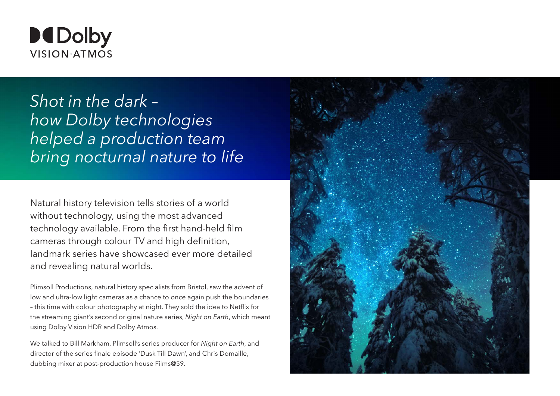

*Shot in the dark – how Dolby technologies helped a production team bring nocturnal nature to life*

Natural history television tells stories of a world without technology, using the most advanced technology available. From the first hand-held film cameras through colour TV and high definition, landmark series have showcased ever more detailed and revealing natural worlds.

Plimsoll Productions, natural history specialists from Bristol, saw the advent of low and ultra-low light cameras as a chance to once again push the boundaries – this time with colour photography at night. They sold the idea to Netflix for the streaming giant's second original nature series, *Night on Earth*, which meant using Dolby Vision HDR and Dolby Atmos.

We talked to Bill Markham, Plimsoll's series producer for *Night on Earth*, and director of the series finale episode 'Dusk Till Dawn', and Chris Domaille, dubbing mixer at post-production house Films@59.

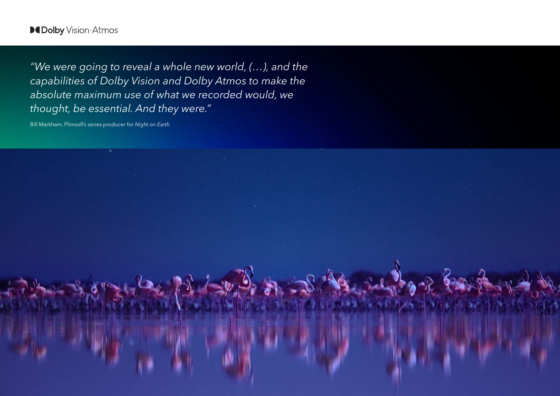# **DCDolby** Vision Atmos

*"We were going to reveal a whole new world, (…), and the capabilities of Dolby Vision and Dolby Atmos to make the absolute maximum use of what we recorded would, we thought, be essential. And they were."*

Bill Markham, Plimsoll's series producer for *Night on Earth*

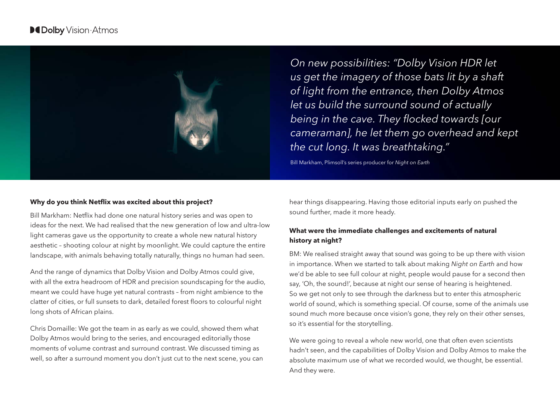

*On new possibilities: "Dolby Vision HDR let us get the imagery of those bats lit by a shaft of light from the entrance, then Dolby Atmos let us build the surround sound of actually*  being in the cave. They flocked towards [our *cameraman], he let them go overhead and kept the cut long. It was breathtaking."*

Bill Markham, Plimsoll's series producer for *Night on Earth*

#### **Why do you think Netflix was excited about this project?**

Bill Markham: Netflix had done one natural history series and was open to ideas for the next. We had realised that the new generation of low and ultra-low light cameras gave us the opportunity to create a whole new natural history aesthetic – shooting colour at night by moonlight. We could capture the entire landscape, with animals behaving totally naturally, things no human had seen.

And the range of dynamics that Dolby Vision and Dolby Atmos could give, with all the extra headroom of HDR and precision soundscaping for the audio, meant we could have huge yet natural contrasts – from night ambience to the clatter of cities, or full sunsets to dark, detailed forest floors to colourful night long shots of African plains.

Chris Domaille: We got the team in as early as we could, showed them what Dolby Atmos would bring to the series, and encouraged editorially those moments of volume contrast and surround contrast. We discussed timing as well, so after a surround moment you don't just cut to the next scene, you can hear things disappearing. Having those editorial inputs early on pushed the sound further, made it more heady.

## **What were the immediate challenges and excitements of natural history at night?**

BM: We realised straight away that sound was going to be up there with vision in importance. When we started to talk about making *Night on Earth* and how we'd be able to see full colour at night, people would pause for a second then say, 'Oh, the sound!', because at night our sense of hearing is heightened. So we get not only to see through the darkness but to enter this atmospheric world of sound, which is something special. Of course, some of the animals use sound much more because once vision's gone, they rely on their other senses, so it's essential for the storytelling.

We were going to reveal a whole new world, one that often even scientists hadn't seen, and the capabilities of Dolby Vision and Dolby Atmos to make the absolute maximum use of what we recorded would, we thought, be essential. And they were.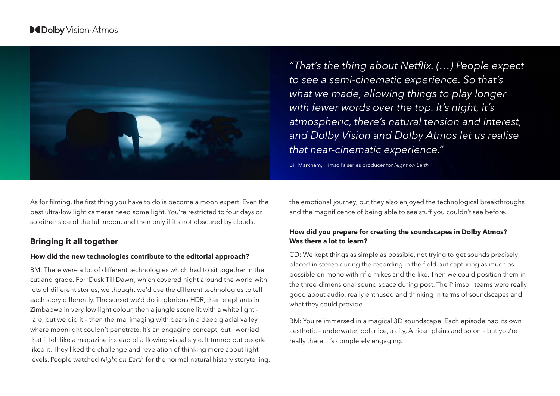

As for filming, the first thing you have to do is become a moon expert. Even the best ultra-low light cameras need some light. You're restricted to four days or so either side of the full moon, and then only if it's not obscured by clouds.

# **Bringing it all together**

#### **How did the new technologies contribute to the editorial approach?**

BM: There were a lot of different technologies which had to sit together in the cut and grade. For 'Dusk Till Dawn', which covered night around the world with lots of different stories, we thought we'd use the different technologies to tell each story differently. The sunset we'd do in glorious HDR, then elephants in Zimbabwe in very low light colour, then a jungle scene lit with a white light – rare, but we did it – then thermal imaging with bears in a deep glacial valley where moonlight couldn't penetrate. It's an engaging concept, but I worried that it felt like a magazine instead of a flowing visual style. It turned out people liked it. They liked the challenge and revelation of thinking more about light levels. People watched *Night on Earth* for the normal natural history storytelling,

"That's the thing about Netflix. (…) People expect *to see a semi-cinematic experience. So that's what we made, allowing things to play longer with fewer words over the top. It's night, it's atmospheric, there's natural tension and interest, and Dolby Vision and Dolby Atmos let us realise that near-cinematic experience."*

Bill Markham, Plimsoll's series producer for *Night on Earth*

the emotional journey, but they also enjoyed the technological breakthroughs and the magnificence of being able to see stuff you couldn't see before.

### **How did you prepare for creating the soundscapes in Dolby Atmos? Was there a lot to learn?**

CD: We kept things as simple as possible, not trying to get sounds precisely placed in stereo during the recording in the field but capturing as much as possible on mono with rifle mikes and the like. Then we could position them in the three-dimensional sound space during post. The Plimsoll teams were really good about audio, really enthused and thinking in terms of soundscapes and what they could provide.

BM: You're immersed in a magical 3D soundscape. Each episode had its own aesthetic – underwater, polar ice, a city, African plains and so on – but you're really there. It's completely engaging.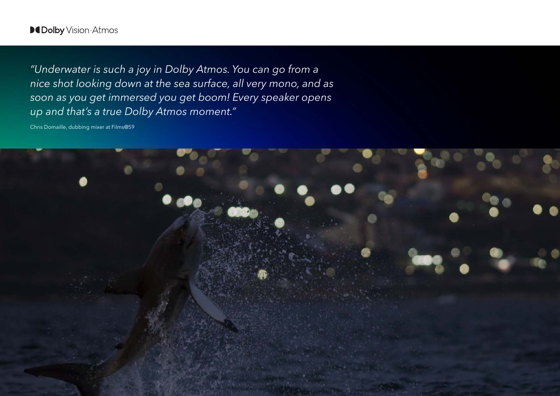# **DeDolby** Vision·Atmos

*"Underwater is such a joy in Dolby Atmos. You can go from a nice shot looking down at the sea surface, all very mono, and as soon as you get immersed you get boom! Every speaker opens up and that's a true Dolby Atmos moment."*

Chris Domaille, dubbing mixer at Films@59

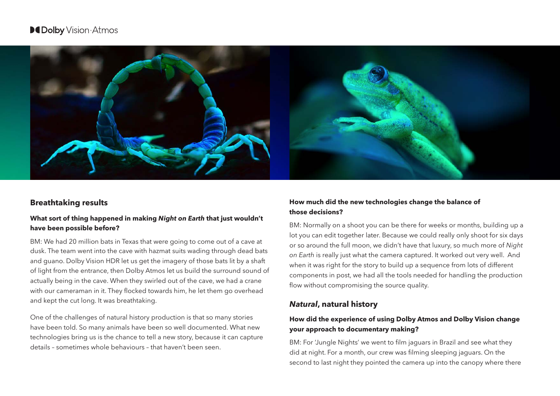# **DCDolby** Vision Atmos



# **Breathtaking results**

### **What sort of thing happened in making** *Night on Earth* **that just wouldn't have been possible before?**

BM: We had 20 million bats in Texas that were going to come out of a cave at dusk. The team went into the cave with hazmat suits wading through dead bats and guano. Dolby Vision HDR let us get the imagery of those bats lit by a shaft of light from the entrance, then Dolby Atmos let us build the surround sound of actually being in the cave. When they swirled out of the cave, we had a crane with our cameraman in it. They flocked towards him, he let them go overhead and kept the cut long. It was breathtaking.

One of the challenges of natural history production is that so many stories have been told. So many animals have been so well documented. What new technologies bring us is the chance to tell a new story, because it can capture details – sometimes whole behaviours – that haven't been seen.

## **How much did the new technologies change the balance of those decisions?**

BM: Normally on a shoot you can be there for weeks or months, building up a lot you can edit together later. Because we could really only shoot for six days or so around the full moon, we didn't have that luxury, so much more of *Night on Earth* is really just what the camera captured. It worked out very well. And when it was right for the story to build up a sequence from lots of different components in post, we had all the tools needed for handling the production flow without compromising the source quality.

# *Natural***, natural history**

## **How did the experience of using Dolby Atmos and Dolby Vision change your approach to documentary making?**

BM: For 'Jungle Nights' we went to film jaguars in Brazil and see what they did at night. For a month, our crew was filming sleeping jaguars. On the second to last night they pointed the camera up into the canopy where there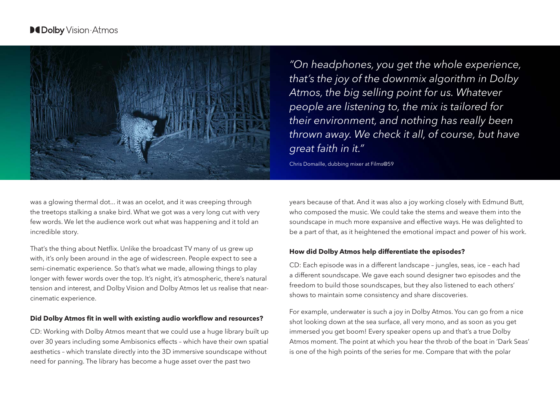

*"On headphones, you get the whole experience, that's the joy of the downmix algorithm in Dolby Atmos, the big selling point for us. Whatever people are listening to, the mix is tailored for their environment, and nothing has really been thrown away. We check it all, of course, but have great faith in it."*

Chris Domaille, dubbing mixer at Films@59

was a glowing thermal dot... it was an ocelot, and it was creeping through the treetops stalking a snake bird. What we got was a very long cut with very few words. We let the audience work out what was happening and it told an incredible story.

That's the thing about Netflix. Unlike the broadcast TV many of us grew up with, it's only been around in the age of widescreen. People expect to see a semi-cinematic experience. So that's what we made, allowing things to play longer with fewer words over the top. It's night, it's atmospheric, there's natural tension and interest, and Dolby Vision and Dolby Atmos let us realise that nearcinematic experience.

#### **Did Dolby Atmos fit in well with existing audio workflow and resources?**

CD: Working with Dolby Atmos meant that we could use a huge library built up over 30 years including some Ambisonics effects – which have their own spatial aesthetics – which translate directly into the 3D immersive soundscape without need for panning. The library has become a huge asset over the past two

years because of that. And it was also a joy working closely with Edmund Butt, who composed the music. We could take the stems and weave them into the soundscape in much more expansive and effective ways. He was delighted to be a part of that, as it heightened the emotional impact and power of his work.

#### **How did Dolby Atmos help differentiate the episodes?**

CD: Each episode was in a different landscape – jungles, seas, ice – each had a different soundscape. We gave each sound designer two episodes and the freedom to build those soundscapes, but they also listened to each others' shows to maintain some consistency and share discoveries.

For example, underwater is such a joy in Dolby Atmos. You can go from a nice shot looking down at the sea surface, all very mono, and as soon as you get immersed you get boom! Every speaker opens up and that's a true Dolby Atmos moment. The point at which you hear the throb of the boat in 'Dark Seas' is one of the high points of the series for me. Compare that with the polar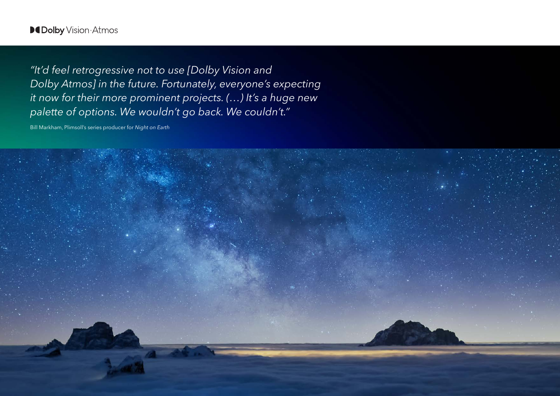"It'd feel retrogressive not to use [Dolby Vision and *Dolby Atmos] in the future. Fortunately, everyone's expecting it now for their more prominent projects. (…) It's a huge new palette of options. We wouldn't go back. We couldn't."*

Bill Markham, Plimsoll's series producer for *Night on Earth*

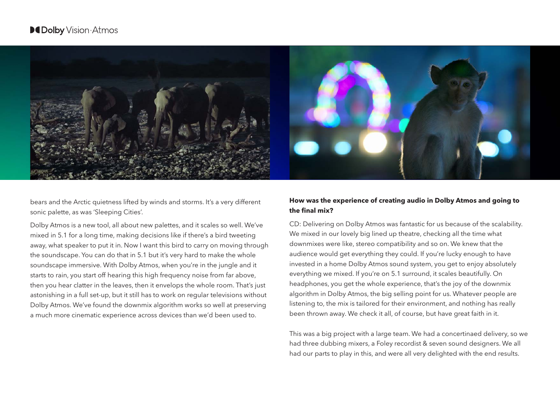

bears and the Arctic quietness lifted by winds and storms. It's a very different sonic palette, as was 'Sleeping Cities'.

Dolby Atmos is a new tool, all about new palettes, and it scales so well. We've mixed in 5.1 for a long time, making decisions like if there's a bird tweeting away, what speaker to put it in. Now I want this bird to carry on moving through the soundscape. You can do that in 5.1 but it's very hard to make the whole soundscape immersive. With Dolby Atmos, when you're in the jungle and it starts to rain, you start off hearing this high frequency noise from far above, then you hear clatter in the leaves, then it envelops the whole room. That's just astonishing in a full set-up, but it still has to work on regular televisions without Dolby Atmos. We've found the downmix algorithm works so well at preserving a much more cinematic experience across devices than we'd been used to.

## **How was the experience of creating audio in Dolby Atmos and going to the final mix?**

CD: Delivering on Dolby Atmos was fantastic for us because of the scalability. We mixed in our lovely big lined up theatre, checking all the time what downmixes were like, stereo compatibility and so on. We knew that the audience would get everything they could. If you're lucky enough to have invested in a home Dolby Atmos sound system, you get to enjoy absolutely everything we mixed. If you're on 5.1 surround, it scales beautifully. On headphones, you get the whole experience, that's the joy of the downmix algorithm in Dolby Atmos, the big selling point for us. Whatever people are listening to, the mix is tailored for their environment, and nothing has really been thrown away. We check it all, of course, but have great faith in it.

This was a big project with a large team. We had a concertinaed delivery, so we had three dubbing mixers, a Foley recordist & seven sound designers. We all had our parts to play in this, and were all very delighted with the end results.